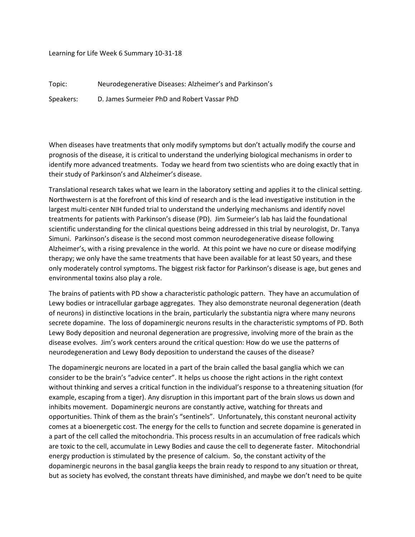Learning for Life Week 6 Summary 10-31-18

Topic: Neurodegenerative Diseases: Alzheimer's and Parkinson's

Speakers: D. James Surmeier PhD and Robert Vassar PhD

When diseases have treatments that only modify symptoms but don't actually modify the course and prognosis of the disease, it is critical to understand the underlying biological mechanisms in order to identify more advanced treatments. Today we heard from two scientists who are doing exactly that in their study of Parkinson's and Alzheimer's disease.

Translational research takes what we learn in the laboratory setting and applies it to the clinical setting. Northwestern is at the forefront of this kind of research and is the lead investigative institution in the largest multi-center NIH funded trial to understand the underlying mechanisms and identify novel treatments for patients with Parkinson's disease (PD). Jim Surmeier's lab has laid the foundational scientific understanding for the clinical questions being addressed in this trial by neurologist, Dr. Tanya Simuni. Parkinson's disease is the second most common neurodegenerative disease following Alzheimer's, with a rising prevalence in the world. At this point we have no cure or disease modifying therapy; we only have the same treatments that have been available for at least 50 years, and these only moderately control symptoms. The biggest risk factor for Parkinson's disease is age, but genes and environmental toxins also play a role.

The brains of patients with PD show a characteristic pathologic pattern. They have an accumulation of Lewy bodies or intracellular garbage aggregates. They also demonstrate neuronal degeneration (death of neurons) in distinctive locations in the brain, particularly the substantia nigra where many neurons secrete dopamine. The loss of dopaminergic neurons results in the characteristic symptoms of PD. Both Lewy Body deposition and neuronal degeneration are progressive, involving more of the brain as the disease evolves. Jim's work centers around the critical question: How do we use the patterns of neurodegeneration and Lewy Body deposition to understand the causes of the disease?

The dopaminergic neurons are located in a part of the brain called the basal ganglia which we can consider to be the brain's "advice center". It helps us choose the right actions in the right context without thinking and serves a critical function in the individual's response to a threatening situation (for example, escaping from a tiger). Any disruption in this important part of the brain slows us down and inhibits movement. Dopaminergic neurons are constantly active, watching for threats and opportunities. Think of them as the brain's "sentinels". Unfortunately, this constant neuronal activity comes at a bioenergetic cost. The energy for the cells to function and secrete dopamine is generated in a part of the cell called the mitochondria. This process results in an accumulation of free radicals which are toxic to the cell, accumulate in Lewy Bodies and cause the cell to degenerate faster. Mitochondrial energy production is stimulated by the presence of calcium. So, the constant activity of the dopaminergic neurons in the basal ganglia keeps the brain ready to respond to any situation or threat, but as society has evolved, the constant threats have diminished, and maybe we don't need to be quite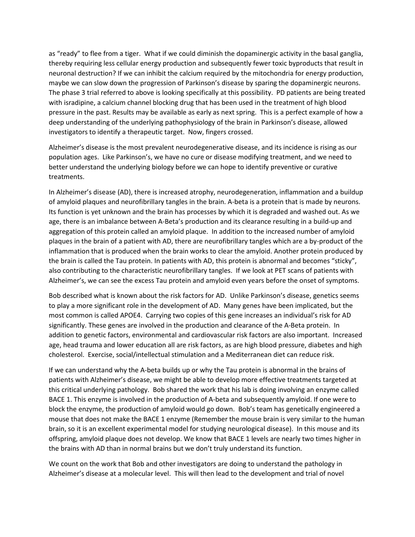as "ready" to flee from a tiger. What if we could diminish the dopaminergic activity in the basal ganglia, thereby requiring less cellular energy production and subsequently fewer toxic byproducts that result in neuronal destruction? If we can inhibit the calcium required by the mitochondria for energy production, maybe we can slow down the progression of Parkinson's disease by sparing the dopaminergic neurons. The phase 3 trial referred to above is looking specifically at this possibility. PD patients are being treated with isradipine, a calcium channel blocking drug that has been used in the treatment of high blood pressure in the past. Results may be available as early as next spring. This is a perfect example of how a deep understanding of the underlying pathophysiology of the brain in Parkinson's disease, allowed investigators to identify a therapeutic target. Now, fingers crossed.

Alzheimer's disease is the most prevalent neurodegenerative disease, and its incidence is rising as our population ages. Like Parkinson's, we have no cure or disease modifying treatment, and we need to better understand the underlying biology before we can hope to identify preventive or curative treatments.

In Alzheimer's disease (AD), there is increased atrophy, neurodegeneration, inflammation and a buildup of amyloid plaques and neurofibrillary tangles in the brain. A-beta is a protein that is made by neurons. Its function is yet unknown and the brain has processes by which it is degraded and washed out. As we age, there is an imbalance between A-Beta's production and its clearance resulting in a build-up and aggregation of this protein called an amyloid plaque. In addition to the increased number of amyloid plaques in the brain of a patient with AD, there are neurofibrillary tangles which are a by-product of the inflammation that is produced when the brain works to clear the amyloid. Another protein produced by the brain is called the Tau protein. In patients with AD, this protein is abnormal and becomes "sticky", also contributing to the characteristic neurofibrillary tangles. If we look at PET scans of patients with Alzheimer's, we can see the excess Tau protein and amyloid even years before the onset of symptoms.

Bob described what is known about the risk factors for AD. Unlike Parkinson's disease, genetics seems to play a more significant role in the development of AD. Many genes have been implicated, but the most common is called APOE4. Carrying two copies of this gene increases an individual's risk for AD significantly. These genes are involved in the production and clearance of the A-Beta protein. In addition to genetic factors, environmental and cardiovascular risk factors are also important. Increased age, head trauma and lower education all are risk factors, as are high blood pressure, diabetes and high cholesterol. Exercise, social/intellectual stimulation and a Mediterranean diet can reduce risk.

If we can understand why the A-beta builds up or why the Tau protein is abnormal in the brains of patients with Alzheimer's disease, we might be able to develop more effective treatments targeted at this critical underlying pathology. Bob shared the work that his lab is doing involving an enzyme called BACE 1. This enzyme is involved in the production of A-beta and subsequently amyloid. If one were to block the enzyme, the production of amyloid would go down. Bob's team has genetically engineered a mouse that does not make the BACE 1 enzyme (Remember the mouse brain is very similar to the human brain, so it is an excellent experimental model for studying neurological disease). In this mouse and its offspring, amyloid plaque does not develop. We know that BACE 1 levels are nearly two times higher in the brains with AD than in normal brains but we don't truly understand its function.

We count on the work that Bob and other investigators are doing to understand the pathology in Alzheimer's disease at a molecular level. This will then lead to the development and trial of novel